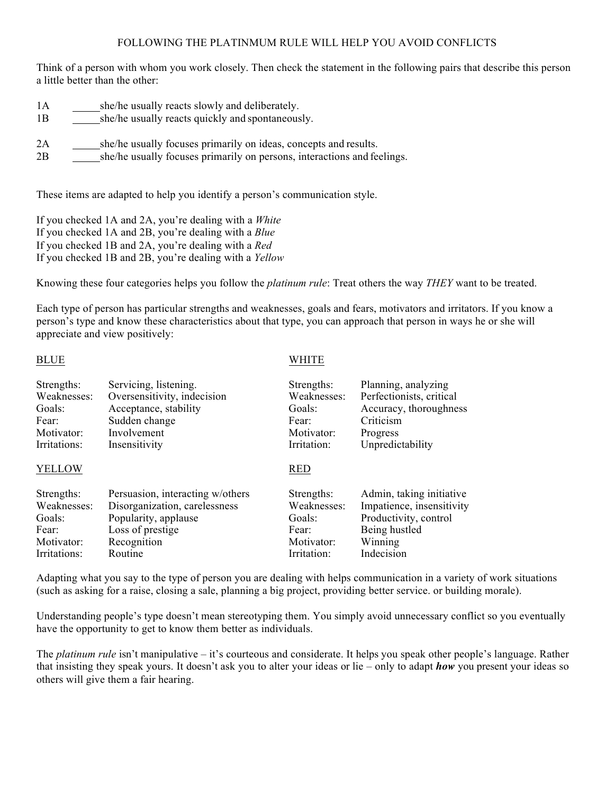#### FOLLOWING THE PLATINMUM RULE WILL HELP YOU AVOID CONFLICTS

Think of a person with whom you work closely. Then check the statement in the following pairs that describe this person a little better than the other:

1A she/he usually reacts slowly and deliberately. 1B she/he usually reacts quickly and spontaneously. 2A she/he usually focuses primarily on ideas, concepts and results. 2B she/he usually focuses primarily on persons, interactions and feelings.

These items are adapted to help you identify a person's communication style.

If you checked 1A and 2A, you're dealing with a *White* If you checked 1A and 2B, you're dealing with a *Blue* If you checked 1B and 2A, you're dealing with a *Red* If you checked 1B and 2B, you're dealing with a *Yellow*

Knowing these four categories helps you follow the *platinum rule*: Treat others the way *THEY* want to be treated.

Each type of person has particular strengths and weaknesses, goals and fears, motivators and irritators. If you know a person's type and know these characteristics about that type, you can approach that person in ways he or she will appreciate and view positively:

BLUE WHITE

| Strengths:    | Servicing, listening.            | Strengths:  | Planning, analyzing       |
|---------------|----------------------------------|-------------|---------------------------|
| Weaknesses:   | Oversensitivity, indecision      | Weaknesses: | Perfectionists, critical  |
| Goals:        | Acceptance, stability            | Goals:      | Accuracy, thoroughness    |
| Fear:         | Sudden change                    | Fear:       | Criticism                 |
| Motivator:    | Involvement                      | Motivator:  | Progress                  |
| Irritations:  | Insensitivity                    | Irritation: | Unpredictability          |
| <b>YELLOW</b> |                                  | <b>RED</b>  |                           |
| Strengths:    | Persuasion, interacting w/others | Strengths:  | Admin, taking initiative  |
| Weaknesses:   | Disorganization, carelessness    | Weaknesses: | Impatience, insensitivity |
| Goals:        | Popularity, applause             | Goals:      | Productivity, control     |
| Fear:         | Loss of prestige                 | Fear:       | Being hustled             |
| Motivator:    | Recognition                      | Motivator:  | Winning                   |
| Irritations:  | Routine                          | Irritation: | Indecision                |

Adapting what you say to the type of person you are dealing with helps communication in a variety of work situations (such as asking for a raise, closing a sale, planning a big project, providing better service. or building morale).

Understanding people's type doesn't mean stereotyping them. You simply avoid unnecessary conflict so you eventually have the opportunity to get to know them better as individuals.

The *platinum rule* isn't manipulative – it's courteous and considerate. It helps you speak other people's language. Rather that insisting they speak yours. It doesn't ask you to alter your ideas or lie – only to adapt *how* you present your ideas so others will give them a fair hearing.